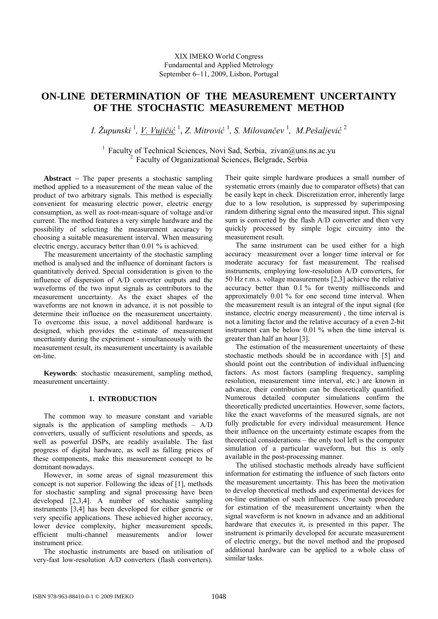# **ON-LINE DETERMINATION OF THE MEASUREMENT UNCERTAINTY OF THE STOCHASTIC MEASUREMENT METHOD**

*I. Župunski* <sup>1</sup> *, V. Vujičić* <sup>1</sup> , *Z. Mitrović* <sup>1</sup> *, S. Milovančev*  1 *, M.Pešaljević* <sup>2</sup>

<sup>1</sup> Faculty of Technical Sciences, Novi Sad, Serbia, zivan@uns.ns.ac.yu <sup>2</sup> Faculty of Organizational Sciences, Belgrade, Serbia

**Abstract** − The paper presents a stochastic sampling method applied to a measurement of the mean value of the product of two arbitrary signals. This method is especially convenient for measuring electric power, electric energy consumption, as well as root-mean-square of voltage and/or current. The method features a very simple hardware and the possibility of selecting the measurement accuracy by choosing a suitable measurement interval. When measuring electric energy, accuracy better than 0.01 % is achieved.

The measurement uncertainty of the stochastic sampling method is analysed and the influence of dominant factors is quantitatively derived. Special consideration is given to the influence of dispersion of A/D converter outputs and the waveforms of the two input signals as contributors to the measurement uncertainty. As the exact shapes of the waveforms are not known in advance, it is not possible to determine their influence on the measurement uncertainty. To overcome this issue, a novel additional hardware is designed, which provides the estimate of measurement uncertainty during the experiment - simultaneously with the measurement result, its measurement uncertainty is available on-line.

**Keywords**: stochastic measurement, sampling method, measurement uncertainty.

## **1. INTRODUCTION**

The common way to measure constant and variable signals is the application of sampling methods  $-$  A/D converters, usually of sufficient resolutions and speeds, as well as powerful DSPs, are readily available. The fast progress of digital hardware, as well as falling prices of these components, make this measurement concept to be dominant nowadays.

However, in some areas of signal measurement this concept is not superior. Following the ideas of [1], methods for stochastic sampling and signal processing have been developed [2,3,4]. A number of stochastic sampling instruments [3,4] has been developed for either generic or very specific applications. These achieved higher accuracy, lower device complexity, higher measurement speeds, efficient multi-channel measurements and/or lower instrument price.

The stochastic instruments are based on utilisation of very-fast low-resolution A/D converters (flash converters).

Their quite simple hardware produces a small number of systematic errors (mainly due to comparator offsets) that can be easily kept in check. Discretization error, inherently large due to a low resolution, is suppressed by superimposing random dithering signal onto the measured input. This signal sum is converted by the flash A/D converter and then very quickly processed by simple logic circuitry into the measurement result.

The same instrument can be used either for a high accuracy measurement over a longer time interval or for moderate accuracy for fast measurement. The realised instruments, employing low-resolution A/D converters, for 50 Hz r.m.s. voltage measurements [2,3] achieve the relative accuracy better than 0.1 % for twenty milliseconds and approximately 0.01 % for one second time interval. When the measurement result is an integral of the input signal (for instance, electric energy measurement) , the time interval is not a limiting factor and the relative accuracy of a even 2-bit instrument can be below 0.01 % when the time interval is greater than half an hour [3].

The estimation of the measurement uncertainty of these stochastic methods should be in accordance with [5] and should point out the contribution of individual influencing factors. As most factors (sampling frequency, sampling resolution, measurement time interval, etc.) are known in advance, their contribution can be theoretically quantified. Numerous detailed computer simulations confirm the theoretically predicted uncertainties. However, some factors, like the exact waveforms of the measured signals, are not fully predictable for every individual measurement. Hence their influence on the uncertainty estimate escapes from the theoretical considerations – the only tool left is the computer simulation of a particular waveform, but this is only available in the post-processing manner.

The utilised stochastic methods already have sufficient information for estimating the influence of such factors onto the measurement uncertainty. This has been the motivation to develop theoretical methods and experimental devices for on-line estimation of such influences. One such procedure for estimation of the measurement uncertainty when the signal waveform is not known in advance and an additional hardware that executes it, is presented in this paper. The instrument is primarily developed for accurate measurement of electric energy, but the novel method and the proposed additional hardware can be applied to a whole class of similar tasks.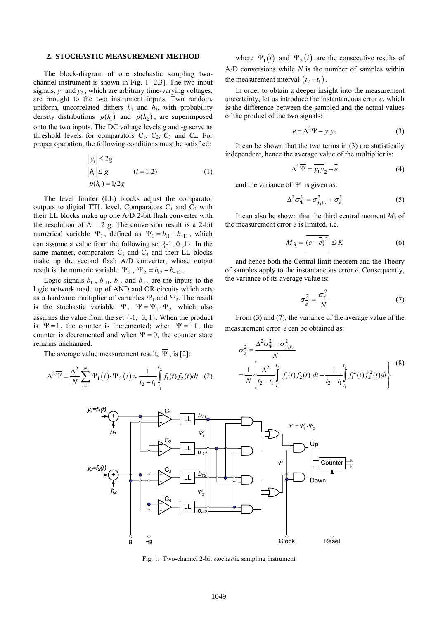#### **2. STOCHASTIC MEASUREMENT METHOD**

The block-diagram of one stochastic sampling twochannel instrument is shown in Fig. 1 [2,3]. The two input signals,  $y_1$  and  $y_2$ , which are arbitrary time-varying voltages, are brought to the two instrument inputs. Two random, uniform, uncorrelated dithers  $h_1$  and  $h_2$ , with probability density distributions  $p(h_1)$  and  $p(h_2)$ , are superimposed onto the two inputs. The DC voltage levels *g* and -*g* serve as threshold levels for comparators  $C_1$ ,  $C_2$ ,  $C_3$  and  $C_4$ . For proper operation, the following conditions must be satisfied:

$$
|y_i| \le 2g
$$
  
\n
$$
|h_i| \le g \qquad (i = 1, 2)
$$
  
\n
$$
p(h_i) = 1/2g \qquad (1)
$$

The level limiter (LL) blocks adjust the comparator outputs to digital TTL level. Comparators  $C_1$  and  $C_2$  with their LL blocks make up one A/D 2-bit flash converter with the resolution of  $\Delta = 2$  *g*. The conversion result is a 2-bit numerical variable  $\Psi_1$ , defined as  $\Psi_1 = b_{11} - b_{-11}$ , which can assume a value from the following set  $\{-1, 0, 1\}$ . In the same manner, comparators  $C_3$  and  $C_4$  and their LL blocks result is the numeric variable  $\Psi_2$ ,  $\Psi_2 = b_{12} - b_{-12}$ . make up the second flash A/D converter, whose output

is the stochastic variable  $\Psi$ ,  $\Psi = \Psi_1 \cdot \Psi_2$  which also Logic signals  $b_{11}$ ,  $b_{11}$ ,  $b_{12}$  and  $b_{12}$  are the inputs to the logic network made up of AND and OR circuits which acts as a hardware multiplier of variables  $\Psi_1$  and  $\Psi_2$ . The result assumes the value from the set  $\{-1, 0, 1\}$ . When the product is  $\Psi = 1$ , the counter is incremented; when  $\Psi = -1$ , the counter is decremented and when  $\Psi = 0$ , the counter state remains unchanged.

The average value measurement result,  $\overline{\Psi}$ , is [2]:

$$
\Delta^{2}\overline{\Psi} = \frac{\Delta^{2}}{N} \sum_{i=1}^{N} \Psi_{1}(i) \cdot \Psi_{2}(i) \approx \frac{1}{t_{2} - t_{1}} \int_{t_{1}}^{t_{2}} f_{1}(t) f_{2}(t) dt \quad (2)
$$

where  $\Psi_1(i)$  and  $\Psi_2(i)$  are the consecutive results of A/D conversions while *N* is the number of samples within the measurement interval  $(t_2 - t_1)$ .

In order to obtain a deeper insight into the measurement uncertainty, let us introduce the instantaneous error *e*, which is the difference between the sampled and the actual values of the product of the two signals:

$$
e = \Delta^2 \Psi - y_1 y_2 \tag{3}
$$

It can be shown that the two terms in (3) are statistically independent, hence the average value of the multiplier is:

$$
\Delta^2 \overline{\Psi} = \overline{y_1 y_2 + e} \tag{4}
$$

and the variance of  $\Psi$  is given as:

$$
\Delta^2 \sigma_{\Psi}^2 = \sigma_{y_1 y_2}^2 + \sigma_e^2 \tag{5}
$$

It can also be shown that the third central moment  $M_3$  of the measurement error *e* is limited, i.e.

$$
M_3 = \left| \overline{(e - \overline{e})^3} \right| \le K \tag{6}
$$

and hence both the Central limit theorem and the Theory of samples apply to the instantaneous error *e*. Consequently, the variance of its average value is:

$$
\sigma_e^2 = \frac{\sigma_e^2}{N} \tag{7}
$$

From (3) and (7), the variance of the average value of the measurement error *e* can be obtained as:

$$
\sigma_e^2 = \frac{\Delta^2 \sigma_{\Psi}^2 - \sigma_{y_1 y_2}^2}{N}
$$
  
=  $\frac{1}{N} \left\{ \frac{\Delta^2}{t_2 - t_1} \int_{t_1}^{t_2} |f_1(t) f_2(t)| dt - \frac{1}{t_2 - t_1} \int_{t_1}^{t_2} f_1^2(t) f_2^2(t) dt \right\}$  (8)



Fig. 1. Two-channel 2-bit stochastic sampling instrument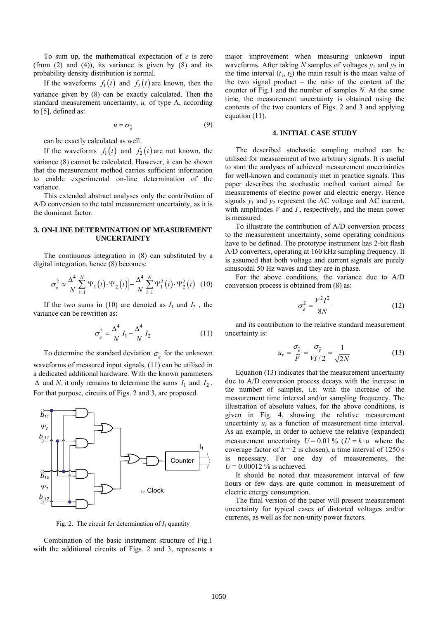To sum up, the mathematical expectation of *e* is zero (from  $(2)$  and  $(4)$ ), its variance is given by  $(8)$  and its probability density distribution is normal.

If the waveforms  $f_1(t)$  and  $f_2(t)$  are known, then the variance given by (8) can be exactly calculated. Then the standard measurement uncertainty, *u,* of type A, according to [5], defined as:

$$
u = \sigma_e^{\mathsf{I}} \tag{9}
$$

can be exactly calculated as well.

If the waveforms  $f_1(t)$  and  $f_2(t)$  are not known, the

variance (8) cannot be calculated. However, it can be shown that the measurement method carries sufficient information to enable experimental on-line determination of the variance.

This extended abstract analyses only the contribution of A/D conversion to the total measurement uncertainty, as it is the dominant factor.

#### **3. ON-LINE DETERMINATION OF MEASUREMENT UNCERTAINTY**

The continuous integration in (8) can substituted by a digital integration, hence (8) becomes:

$$
\sigma_e^2 \approx \frac{\Delta^4}{N} \sum_{i=1}^N \left| \Psi_1(i) \cdot \Psi_2(i) \right| - \frac{\Delta^4}{N} \sum_{i=1}^N \Psi_1^2(i) \cdot \Psi_2^2(i) \tag{10}
$$

If the two sums in (10) are denoted as  $I_1$  and  $I_2$ , the variance can be rewritten as:

$$
\sigma_e^2 = \frac{\Delta^4}{N} I_1 - \frac{\Delta^4}{N} I_2 \tag{11}
$$

To determine the standard deviation  $\sigma_{e}$  for the unknown waveforms of measured input signals,  $(11)$  can be utilised in a dedicated additional hardware. With the known parameters  $\Delta$  and *N*, it only remains to determine the sums  $I_1$  and  $I_2$ . For that purpose, circuits of Figs. 2 and 3, are proposed.



Fig. 2. The circuit for determination of  $I_1$  quantity

Combination of the basic instrument structure of Fig.1 with the additional circuits of Figs. 2 and 3, represents a major improvement when measuring unknown input waveforms. After taking  $N$  samples of voltages  $y_1$  and  $y_2$  in the time interval  $(t_1, t_2)$  the main result is the mean value of the two signal product – the ratio of the content of the counter of Fig.1 and the number of samples *N*. At the same time, the measurement uncertainty is obtained using the contents of the two counters of Figs. 2 and 3 and applying equation (11).

#### **4. INITIAL CASE STUDY**

The described stochastic sampling method can be utilised for measurement of two arbitrary signals. It is useful to start the analyses of achieved measurement uncertainties for well-known and commonly met in practice signals. This paper describes the stochastic method variant aimed for measurements of electric power and electric energy. Hence signals  $y_1$  and  $y_2$  represent the AC voltage and AC current, with amplitudes *V* and *I* , respectively, and the mean power is measured.

To illustrate the contribution of A/D conversion process to the measurement uncertainty, some operating conditions have to be defined. The prototype instrument has 2-bit flash A/D converters, operating at 160 kHz sampling frequency. It is assumed that both voltage and current signals are purely sinusoidal 50 Hz waves and they are in phase.

For the above conditions, the variance due to A/D conversion process is obtained from (8) as:

$$
\sigma_{\overline{e}}^2 = \frac{V^2 I^2}{8N} \tag{12}
$$

and its contribution to the relative standard measurement uncertainty is:

$$
u_r = \frac{\sigma_{\overline{e}}}{\overline{P}} = \frac{\sigma_{\overline{e}}}{VI/2} = \frac{1}{\sqrt{2N}}\tag{13}
$$

Equation (13) indicates that the measurement uncertainty due to A/D conversion process decays with the increase in the number of samples, i.e. with the increase of the measurement time interval and/or sampling frequency. The illustration of absolute values, for the above conditions, is given in Fig. 4, showing the relative measurement uncertainty *ur* as a function of measurement time interval. As an example, in order to achieve the relative (expanded) measurement uncertainty  $U = 0.01 \%$  ( $U = k \cdot u$  where the coverage factor of  $k = 2$  is chosen), a time interval of 1250 *s* is necessary. For one day of measurements, the  $U = 0.00012$  % is achieved.

It should be noted that measurement interval of few hours or few days are quite common in measurement of electric energy consumption.

The final version of the paper will present measurement uncertainty for typical cases of distorted voltages and/or currents, as well as for non-unity power factors.